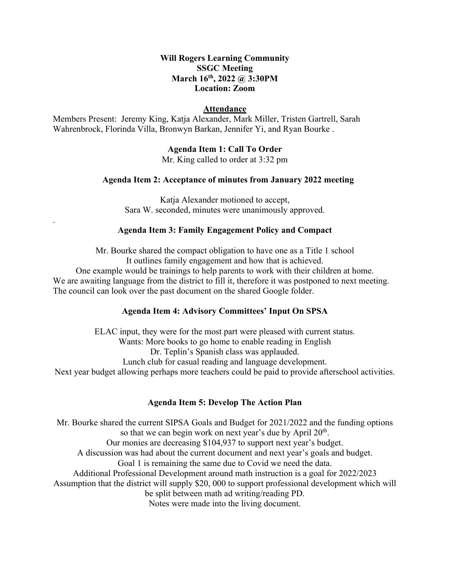# **March 16th, 2022 @ 3:30PM Will Rogers Learning Community SSGC Meeting Location: Zoom**

## **Attendance**

 Members Present: Jeremy King, Katja Alexander, Mark Miller, Tristen Gartrell, Sarah Wahrenbrock, Florinda Villa, Bronwyn Barkan, Jennifer Yi, and Ryan Bourke .

# **Agenda Item 1: Call To Order**

Mr. King called to order at 3:32 pm

## **Agenda Item 2: Acceptance of minutes from January 2022 meeting**

Katja Alexander motioned to accept, Sara W. seconded, minutes were unanimously approved.

#### **Agenda Item 3: Family Engagement Policy and Compact**

.

Mr. Bourke shared the compact obligation to have one as a Title 1 school It outlines family engagement and how that is achieved. One example would be trainings to help parents to work with their children at home. We are awaiting language from the district to fill it, therefore it was postponed to next meeting. The council can look over the past document on the shared Google folder.

## **Agenda Item 4: Advisory Committees' Input On SPSA**

ELAC input, they were for the most part were pleased with current status. Wants: More books to go home to enable reading in English Dr. Teplin's Spanish class was applauded. Lunch club for casual reading and language development. Next year budget allowing perhaps more teachers could be paid to provide afterschool activities.

## **Agenda Item 5: Develop The Action Plan**

 Notes were made into the living document. Mr. Bourke shared the current SIPSA Goals and Budget for 2021/2022 and the funding options so that we can begin work on next year's due by April  $20<sup>th</sup>$ . Our monies are decreasing \$104,937 to support next year's budget. A discussion was had about the current document and next year's goals and budget. Goal 1 is remaining the same due to Covid we need the data. Additional Professional Development around math instruction is a goal for 2022/2023 Assumption that the district will supply \$20, 000 to support professional development which will be split between math ad writing/reading PD.